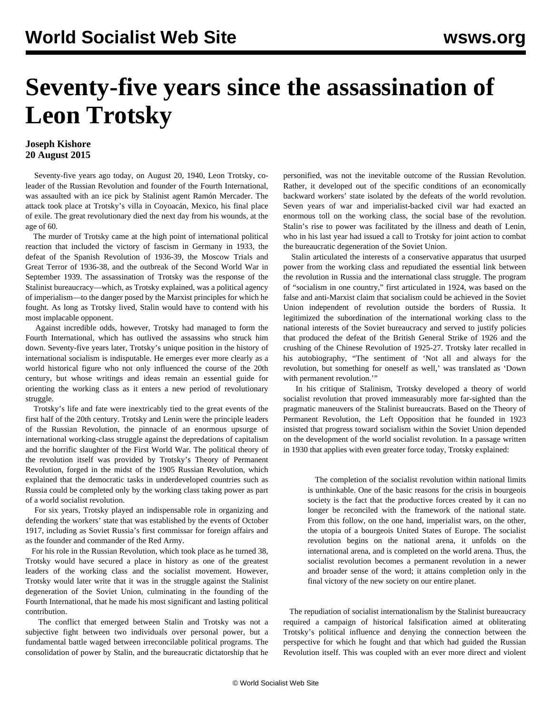## **Seventy-five years since the assassination of Leon Trotsky**

## **Joseph Kishore 20 August 2015**

 Seventy-five years ago today, on August 20, 1940, Leon Trotsky, coleader of the Russian Revolution and founder of the Fourth International, was assaulted with an ice pick by Stalinist agent Ramón Mercader. The attack took place at Trotsky's villa in Coyoacán, Mexico, his final place of exile. The great revolutionary died the next day from his wounds, at the age of 60.

 The murder of Trotsky came at the high point of international political reaction that included the victory of fascism in Germany in 1933, the defeat of the Spanish Revolution of 1936-39, the Moscow Trials and Great Terror of 1936-38, and the outbreak of the Second World War in September 1939. The assassination of Trotsky was the response of the Stalinist bureaucracy—which, as Trotsky explained, was a political agency of imperialism—to the danger posed by the Marxist principles for which he fought. As long as Trotsky lived, Stalin would have to contend with his most implacable opponent.

 Against incredible odds, however, Trotsky had managed to form the Fourth International, which has outlived the assassins who struck him down. Seventy-five years later, Trotsky's unique position in the history of international socialism is indisputable. He emerges ever more clearly as a world historical figure who not only influenced the course of the 20th century, but whose writings and ideas remain an essential guide for orienting the working class as it enters a new period of revolutionary struggle.

 Trotsky's life and fate were inextricably tied to the great events of the first half of the 20th century. Trotsky and Lenin were the principle leaders of the Russian Revolution, the pinnacle of an enormous upsurge of international working-class struggle against the depredations of capitalism and the horrific slaughter of the First World War. The political theory of the revolution itself was provided by Trotsky's Theory of Permanent Revolution, forged in the midst of the 1905 Russian Revolution, which explained that the democratic tasks in underdeveloped countries such as Russia could be completed only by the working class taking power as part of a world socialist revolution.

 For six years, Trotsky played an indispensable role in organizing and defending the workers' state that was established by the events of October 1917, including as Soviet Russia's first commissar for foreign affairs and as the founder and commander of the Red Army.

 For his role in the Russian Revolution, which took place as he turned 38, Trotsky would have secured a place in history as one of the greatest leaders of the working class and the socialist movement. However, Trotsky would later write that it was in the struggle against the Stalinist degeneration of the Soviet Union, culminating in the founding of the Fourth International, that he made his most significant and lasting political contribution.

 The conflict that emerged between Stalin and Trotsky was not a subjective fight between two individuals over personal power, but a fundamental battle waged between irreconcilable political programs. The consolidation of power by Stalin, and the bureaucratic dictatorship that he personified, was not the inevitable outcome of the Russian Revolution. Rather, it developed out of the specific conditions of an economically backward workers' state isolated by the defeats of the world revolution. Seven years of war and imperialist-backed civil war had exacted an enormous toll on the working class, the social base of the revolution. Stalin's rise to power was facilitated by the illness and death of Lenin, who in his last year had issued a call to Trotsky for joint action to combat the bureaucratic degeneration of the Soviet Union.

 Stalin articulated the interests of a conservative apparatus that usurped power from the working class and repudiated the essential link between the revolution in Russia and the international class struggle. The program of "socialism in one country," first articulated in 1924, was based on the false and anti-Marxist claim that socialism could be achieved in the Soviet Union independent of revolution outside the borders of Russia. It legitimized the subordination of the international working class to the national interests of the Soviet bureaucracy and served to justify policies that produced the defeat of the British General Strike of 1926 and the crushing of the Chinese Revolution of 1925-27. Trotsky later recalled in his autobiography, "The sentiment of 'Not all and always for the revolution, but something for oneself as well,' was translated as 'Down with permanent revolution."

 In his critique of Stalinism, Trotsky developed a theory of world socialist revolution that proved immeasurably more far-sighted than the pragmatic maneuvers of the Stalinist bureaucrats. Based on the Theory of Permanent Revolution, the Left Opposition that he founded in 1923 insisted that progress toward socialism within the Soviet Union depended on the development of the world socialist revolution. In a passage written in 1930 that applies with even greater force today, Trotsky explained:

 The completion of the socialist revolution within national limits is unthinkable. One of the basic reasons for the crisis in bourgeois society is the fact that the productive forces created by it can no longer be reconciled with the framework of the national state. From this follow, on the one hand, imperialist wars, on the other, the utopia of a bourgeois United States of Europe. The socialist revolution begins on the national arena, it unfolds on the international arena, and is completed on the world arena. Thus, the socialist revolution becomes a permanent revolution in a newer and broader sense of the word; it attains completion only in the final victory of the new society on our entire planet.

 The repudiation of socialist internationalism by the Stalinist bureaucracy required a campaign of historical falsification aimed at obliterating Trotsky's political influence and denying the connection between the perspective for which he fought and that which had guided the Russian Revolution itself. This was coupled with an ever more direct and violent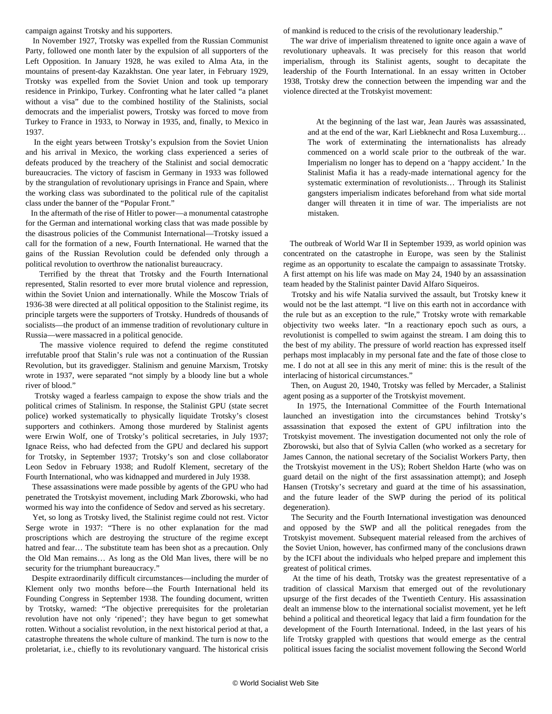campaign against Trotsky and his supporters.

 In November 1927, Trotsky was expelled from the Russian Communist Party, followed one month later by the expulsion of all supporters of the Left Opposition. In January 1928, he was exiled to Alma Ata, in the mountains of present-day Kazakhstan. One year later, in February 1929, Trotsky was expelled from the Soviet Union and took up temporary residence in Prinkipo, Turkey. Confronting what he later called "a planet without a visa" due to the combined hostility of the Stalinists, social democrats and the imperialist powers, Trotsky was forced to move from Turkey to France in 1933, to Norway in 1935, and, finally, to Mexico in 1937.

 In the eight years between Trotsky's expulsion from the Soviet Union and his arrival in Mexico, the working class experienced a series of defeats produced by the treachery of the Stalinist and social democratic bureaucracies. The victory of fascism in Germany in 1933 was followed by the strangulation of revolutionary uprisings in France and Spain, where the working class was subordinated to the political rule of the capitalist class under the banner of the "Popular Front."

 In the aftermath of the rise of Hitler to power—a monumental catastrophe for the German and international working class that was made possible by the disastrous policies of the Communist International—Trotsky issued a call for the formation of a new, Fourth International. He warned that the gains of the Russian Revolution could be defended only through a political revolution to overthrow the nationalist bureaucracy.

 Terrified by the threat that Trotsky and the Fourth International represented, Stalin resorted to ever more brutal violence and repression, within the Soviet Union and internationally. While the Moscow Trials of 1936-38 were directed at all political opposition to the Stalinist regime, its principle targets were the supporters of Trotsky. Hundreds of thousands of socialists—the product of an immense tradition of revolutionary culture in Russia—were massacred in a political genocide.

 The massive violence required to defend the regime constituted irrefutable proof that Stalin's rule was not a continuation of the Russian Revolution, but its gravedigger. Stalinism and genuine Marxism, Trotsky wrote in 1937, were separated "not simply by a bloody line but a whole river of blood."

 Trotsky waged a fearless campaign to expose the show trials and the political crimes of Stalinism. In response, the Stalinist GPU (state secret police) worked systematically to physically liquidate Trotsky's closest supporters and cothinkers. Among those murdered by Stalinist agents were Erwin Wolf, one of Trotsky's political secretaries, in July 1937; Ignace Reiss, who had defected from the GPU and declared his support for Trotsky, in September 1937; Trotsky's son and close collaborator Leon Sedov in February 1938; and Rudolf Klement, secretary of the Fourth International, who was kidnapped and murdered in July 1938.

 These assassinations were made possible by agents of the GPU who had penetrated the Trotskyist movement, including Mark Zborowski, who had wormed his way into the confidence of Sedov and served as his secretary.

 Yet, so long as Trotsky lived, the Stalinist regime could not rest. Victor Serge wrote in 1937: "There is no other explanation for the mad proscriptions which are destroying the structure of the regime except hatred and fear... The substitute team has been shot as a precaution. Only the Old Man remains… As long as the Old Man lives, there will be no security for the triumphant bureaucracy."

 Despite extraordinarily difficult circumstances—including the murder of Klement only two months before—the Fourth International held its Founding Congress in September 1938. The founding document, written by Trotsky, warned: "The objective prerequisites for the proletarian revolution have not only 'ripened'; they have begun to get somewhat rotten. Without a socialist revolution, in the next historical period at that, a catastrophe threatens the whole culture of mankind. The turn is now to the proletariat, i.e., chiefly to its revolutionary vanguard. The historical crisis of mankind is reduced to the crisis of the revolutionary leadership."

 The war drive of imperialism threatened to ignite once again a wave of revolutionary upheavals. It was precisely for this reason that world imperialism, through its Stalinist agents, sought to decapitate the leadership of the Fourth International. In an essay written in October 1938, Trotsky drew the connection between the impending war and the violence directed at the Trotskyist movement:

 At the beginning of the last war, Jean Jaurès was assassinated, and at the end of the war, Karl Liebknecht and Rosa Luxemburg… The work of exterminating the internationalists has already commenced on a world scale prior to the outbreak of the war. Imperialism no longer has to depend on a 'happy accident.' In the Stalinist Mafia it has a ready-made international agency for the systematic extermination of revolutionists… Through its Stalinist gangsters imperialism indicates beforehand from what side mortal danger will threaten it in time of war. The imperialists are not mistaken.

 The outbreak of World War II in September 1939, as world opinion was concentrated on the catastrophe in Europe, was seen by the Stalinist regime as an opportunity to escalate the campaign to assassinate Trotsky. A first attempt on his life was made on May 24, 1940 by an assassination team headed by the Stalinist painter David Alfaro Siqueiros.

 Trotsky and his wife Natalia survived the assault, but Trotsky knew it would not be the last attempt. "I live on this earth not in accordance with the rule but as an exception to the rule," Trotsky wrote with remarkable objectivity two weeks later. "In a reactionary epoch such as ours, a revolutionist is compelled to swim against the stream. I am doing this to the best of my ability. The pressure of world reaction has expressed itself perhaps most implacably in my personal fate and the fate of those close to me. I do not at all see in this any merit of mine: this is the result of the interlacing of historical circumstances."

 Then, on August 20, 1940, Trotsky was felled by Mercader, a Stalinist agent posing as a supporter of the Trotskyist movement.

 In 1975, the International Committee of the Fourth International launched an investigation into the circumstances behind Trotsky's assassination that exposed the extent of GPU infiltration into the Trotskyist movement. The investigation documented not only the role of Zborowski, but also that of Sylvia Callen (who worked as a secretary for James Cannon, the national secretary of the Socialist Workers Party, then the Trotskyist movement in the US); Robert Sheldon Harte (who was on guard detail on the night of the first assassination attempt); and Joseph Hansen (Trotsky's secretary and guard at the time of his assassination, and the future leader of the SWP during the period of its political degeneration).

 The Security and the Fourth International investigation was denounced and opposed by the SWP and all the political renegades from the Trotskyist movement. Subsequent material released from the archives of the Soviet Union, however, has confirmed many of the conclusions drawn by the ICFI about the individuals who helped prepare and implement this greatest of political crimes.

 At the time of his death, Trotsky was the greatest representative of a tradition of classical Marxism that emerged out of the revolutionary upsurge of the first decades of the Twentieth Century. His assassination dealt an immense blow to the international socialist movement, yet he left behind a political and theoretical legacy that laid a firm foundation for the development of the Fourth International. Indeed, in the last years of his life Trotsky grappled with questions that would emerge as the central political issues facing the socialist movement following the Second World